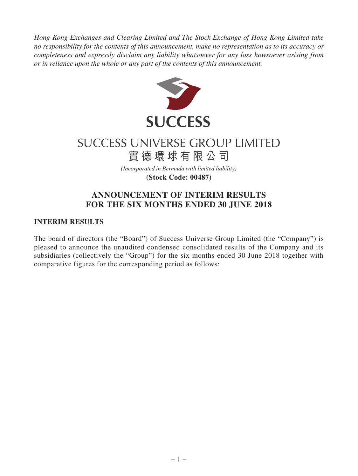*Hong Kong Exchanges and Clearing Limited and The Stock Exchange of Hong Kong Limited take no responsibility for the contents of this announcement, make no representation as to its accuracy or completeness and expressly disclaim any liability whatsoever for any loss howsoever arising from or in reliance upon the whole or any part of the contents of this announcement.*



# SUCCESS UNIVERSE GROUP LIMITED 實德環球有限公司

*(Incorporated in Bermuda with limited liability)*

**(Stock Code: 00487)**

## **ANNOUNCEMENT OF INTERIM RESULTS FOR THE SIX MONTHS ENDED 30 JUNE 2018**

## **INTERIM RESULTS**

The board of directors (the "Board") of Success Universe Group Limited (the "Company") is pleased to announce the unaudited condensed consolidated results of the Company and its subsidiaries (collectively the "Group") for the six months ended 30 June 2018 together with comparative figures for the corresponding period as follows: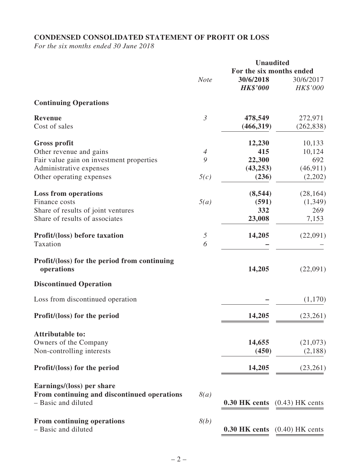## **CONDENSED CONSOLIDATED STATEMENT OF PROFIT OR LOSS**

*For the six months ended 30 June 2018*

|                                                            |                |                          | <b>Unaudited</b>                       |
|------------------------------------------------------------|----------------|--------------------------|----------------------------------------|
|                                                            |                | For the six months ended |                                        |
|                                                            | <b>Note</b>    | 30/6/2018                | 30/6/2017                              |
|                                                            |                | <b>HK\$'000</b>          | HK\$'000                               |
| <b>Continuing Operations</b>                               |                |                          |                                        |
| <b>Revenue</b>                                             | $\mathfrak{Z}$ | 478,549                  | 272,971                                |
| Cost of sales                                              |                | (466, 319)               | (262, 838)                             |
| <b>Gross profit</b>                                        |                | 12,230                   | 10,133                                 |
| Other revenue and gains                                    | $\overline{4}$ | 415                      | 10,124                                 |
| Fair value gain on investment properties                   | 9              | 22,300                   | 692                                    |
| Administrative expenses                                    |                | (43, 253)                | (46, 911)                              |
| Other operating expenses                                   | 5(c)           | (236)                    | (2,202)                                |
| <b>Loss from operations</b>                                |                | (8, 544)                 | (28, 164)                              |
| Finance costs                                              | 5(a)           | (591)                    | (1, 349)                               |
| Share of results of joint ventures                         |                | 332                      | 269                                    |
| Share of results of associates                             |                | 23,008                   | 7,153                                  |
|                                                            |                |                          |                                        |
| <b>Profit/(loss) before taxation</b><br>Taxation           | 5<br>6         | 14,205                   | (22,091)                               |
|                                                            |                |                          |                                        |
| Profit/(loss) for the period from continuing<br>operations |                | 14,205                   | (22,091)                               |
| <b>Discontinued Operation</b>                              |                |                          |                                        |
| Loss from discontinued operation                           |                |                          | (1,170)                                |
| Profit/(loss) for the period                               |                | 14,205                   | (23,261)                               |
| <b>Attributable to:</b>                                    |                |                          |                                        |
| Owners of the Company                                      |                | 14,655                   | (21,073)                               |
| Non-controlling interests                                  |                | (450)                    | (2,188)                                |
| Profit/(loss) for the period                               |                | 14,205                   | (23,261)                               |
| Earnings/(loss) per share                                  |                |                          |                                        |
| From continuing and discontinued operations                | 8(a)           |                          |                                        |
| - Basic and diluted                                        |                |                          | <b>0.30 HK cents</b> $(0.43)$ HK cents |
|                                                            |                |                          |                                        |
| From continuing operations                                 | 8(b)           |                          |                                        |
| - Basic and diluted                                        |                |                          | $0.30$ HK cents $(0.40)$ HK cents      |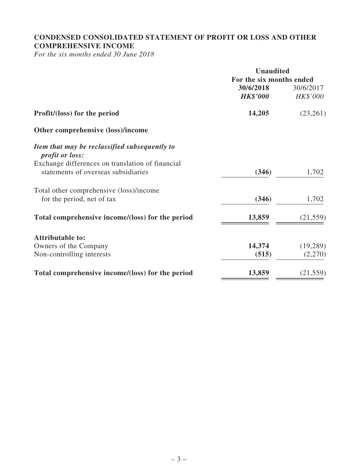## **CONDENSED CONSOLIDATED STATEMENT OF PROFIT OR LOSS AND OTHER COMPREHENSIVE INCOME**

*For the six months ended 30 June 2018*

|                                                                                         | <b>Unaudited</b>         |           |
|-----------------------------------------------------------------------------------------|--------------------------|-----------|
|                                                                                         | For the six months ended |           |
|                                                                                         | 30/6/2018                | 30/6/2017 |
|                                                                                         | <b>HK\$'000</b>          | HK\$'000  |
| Profit/(loss) for the period                                                            | 14,205                   | (23,261)  |
| Other comprehensive (loss)/income                                                       |                          |           |
| Item that may be reclassified subsequently to<br><i>profit or loss:</i>                 |                          |           |
| Exchange differences on translation of financial<br>statements of overseas subsidiaries | (346)                    | 1,702     |
| Total other comprehensive (loss)/income                                                 |                          |           |
| for the period, net of tax                                                              | (346)                    | 1,702     |
| Total comprehensive income/(loss) for the period                                        | 13,859                   | (21, 559) |
| <b>Attributable to:</b>                                                                 |                          |           |
| Owners of the Company                                                                   | 14,374                   | (19, 289) |
| Non-controlling interests                                                               | (515)                    | (2,270)   |
| Total comprehensive income/(loss) for the period                                        | 13,859                   | (21, 559) |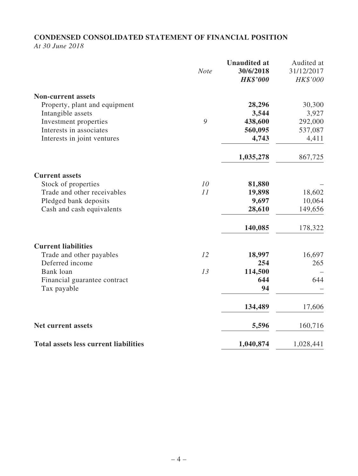## **CONDENSED CONSOLIDATED STATEMENT OF FINANCIAL POSITION**

*At 30 June 2018*

|                                              | <b>Note</b> | <b>Unaudited at</b><br>30/6/2018<br><b>HK\$'000</b> | Audited at<br>31/12/2017<br>HK\$'000 |
|----------------------------------------------|-------------|-----------------------------------------------------|--------------------------------------|
| <b>Non-current assets</b>                    |             |                                                     |                                      |
| Property, plant and equipment                |             | 28,296                                              | 30,300                               |
| Intangible assets                            |             | 3,544                                               | 3,927                                |
| Investment properties                        | 9           | 438,600                                             | 292,000                              |
| Interests in associates                      |             | 560,095                                             | 537,087                              |
| Interests in joint ventures                  |             | 4,743                                               | 4,411                                |
|                                              |             | 1,035,278                                           | 867,725                              |
| <b>Current assets</b>                        |             |                                                     |                                      |
| Stock of properties                          | 10          | 81,880                                              |                                      |
| Trade and other receivables                  | 11          | 19,898                                              | 18,602                               |
| Pledged bank deposits                        |             | 9,697                                               | 10,064                               |
| Cash and cash equivalents                    |             | 28,610                                              | 149,656                              |
|                                              |             | 140,085                                             | 178,322                              |
| <b>Current liabilities</b>                   |             |                                                     |                                      |
| Trade and other payables                     | 12          | 18,997                                              | 16,697                               |
| Deferred income                              |             | 254                                                 | 265                                  |
| Bank loan                                    | 13          | 114,500                                             |                                      |
| Financial guarantee contract                 |             | 644                                                 | 644                                  |
| Tax payable                                  |             | 94                                                  |                                      |
|                                              |             | 134,489                                             | 17,606                               |
| <b>Net current assets</b>                    |             | 5,596                                               | 160,716                              |
| <b>Total assets less current liabilities</b> |             | 1,040,874                                           | 1,028,441                            |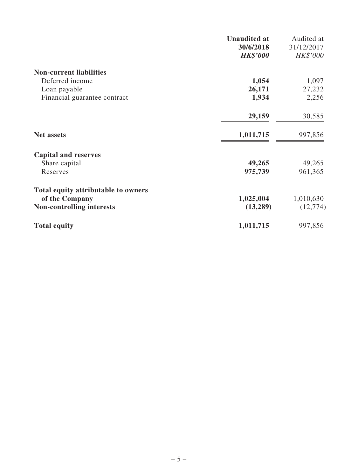|                                     | <b>Unaudited at</b><br>30/6/2018 | Audited at<br>31/12/2017 |
|-------------------------------------|----------------------------------|--------------------------|
|                                     | <b>HK\$'000</b>                  | HK\$'000                 |
| <b>Non-current liabilities</b>      |                                  |                          |
| Deferred income                     | 1,054                            | 1,097                    |
| Loan payable                        | 26,171                           | 27,232                   |
| Financial guarantee contract        | 1,934                            | 2,256                    |
|                                     | 29,159                           | 30,585                   |
| <b>Net assets</b>                   | 1,011,715                        | 997,856                  |
| <b>Capital and reserves</b>         |                                  |                          |
| Share capital                       | 49,265                           | 49,265                   |
| Reserves                            | 975,739                          | 961,365                  |
| Total equity attributable to owners |                                  |                          |
| of the Company                      | 1,025,004                        | 1,010,630                |
| <b>Non-controlling interests</b>    | (13,289)                         | (12, 774)                |
| <b>Total equity</b>                 | 1,011,715                        | 997,856                  |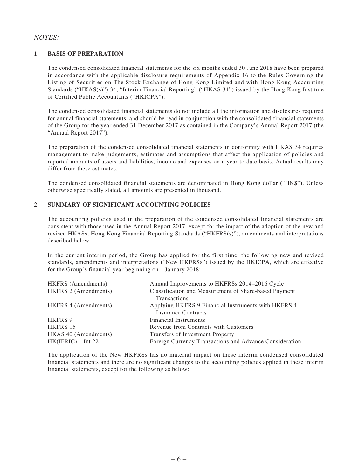### *NOTES:*

### **1. BASIS OF PREPARATION**

The condensed consolidated financial statements for the six months ended 30 June 2018 have been prepared in accordance with the applicable disclosure requirements of Appendix 16 to the Rules Governing the Listing of Securities on The Stock Exchange of Hong Kong Limited and with Hong Kong Accounting Standards ("HKAS(s)") 34, "Interim Financial Reporting" ("HKAS 34") issued by the Hong Kong Institute of Certified Public Accountants ("HKICPA").

The condensed consolidated financial statements do not include all the information and disclosures required for annual financial statements, and should be read in conjunction with the consolidated financial statements of the Group for the year ended 31 December 2017 as contained in the Company's Annual Report 2017 (the "Annual Report 2017").

The preparation of the condensed consolidated financial statements in conformity with HKAS 34 requires management to make judgements, estimates and assumptions that affect the application of policies and reported amounts of assets and liabilities, income and expenses on a year to date basis. Actual results may differ from these estimates.

The condensed consolidated financial statements are denominated in Hong Kong dollar ("HK\$"). Unless otherwise specifically stated, all amounts are presented in thousand.

### **2. SUMMARY OF SIGNIFICANT ACCOUNTING POLICIES**

The accounting policies used in the preparation of the condensed consolidated financial statements are consistent with those used in the Annual Report 2017, except for the impact of the adoption of the new and revised HKASs, Hong Kong Financial Reporting Standards ("HKFRS(s)"), amendments and interpretations described below.

In the current interim period, the Group has applied for the first time, the following new and revised standards, amendments and interpretations ("New HKFRSs") issued by the HKICPA, which are effective for the Group's financial year beginning on 1 January 2018:

| <b>HKFRS</b> (Amendments)   | Annual Improvements to HKFRSs 2014–2016 Cycle                                |
|-----------------------------|------------------------------------------------------------------------------|
| <b>HKFRS 2 (Amendments)</b> | Classification and Measurement of Share-based Payment<br><b>Transactions</b> |
|                             |                                                                              |
| <b>HKFRS 4 (Amendments)</b> | Applying HKFRS 9 Financial Instruments with HKFRS 4                          |
|                             | <b>Insurance Contracts</b>                                                   |
| <b>HKFRS 9</b>              | <b>Financial Instruments</b>                                                 |
| <b>HKFRS 15</b>             | Revenue from Contracts with Customers                                        |
| HKAS 40 (Amendments)        | Transfers of Investment Property                                             |
| $HK(IFRIC) - Int 22$        | Foreign Currency Transactions and Advance Consideration                      |

The application of the New HKFRSs has no material impact on these interim condensed consolidated financial statements and there are no significant changes to the accounting policies applied in these interim financial statements, except for the following as below: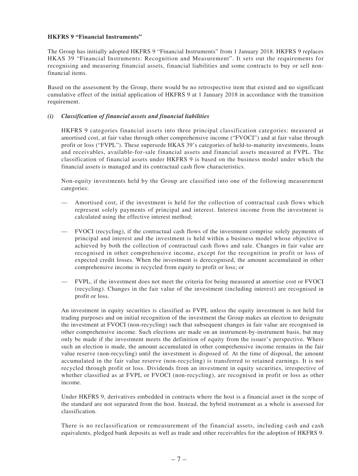#### **HKFRS 9 "Financial Instruments"**

The Group has initially adopted HKFRS 9 "Financial Instruments" from 1 January 2018. HKFRS 9 replaces HKAS 39 "Financial Instruments: Recognition and Measurement". It sets out the requirements for recognising and measuring financial assets, financial liabilities and some contracts to buy or sell nonfinancial items.

Based on the assessment by the Group, there would be no retrospective item that existed and no significant cumulative effect of the initial application of HKFRS 9 at 1 January 2018 in accordance with the transition requirement.

### *(i) Classification of financial assets and financial liabilities*

HKFRS 9 categories financial assets into three principal classification categories: measured at amortised cost, at fair value through other comprehensive income ("FVOCI") and at fair value through profit or loss ("FVPL"). These supersede HKAS 39's categories of held-to-maturity investments, loans and receivables, available-for-sale financial assets and financial assets measured at FVPL. The classification of financial assets under HKFRS 9 is based on the business model under which the financial assets is managed and its contractual cash flow characteristics.

Non-equity investments held by the Group are classified into one of the following measurement categories:

- Amortised cost, if the investment is held for the collection of contractual cash flows which represent solely payments of principal and interest. Interest income from the investment is calculated using the effective interest method;
- FVOCI (recycling), if the contractual cash flows of the investment comprise solely payments of principal and interest and the investment is held within a business model whose objective is achieved by both the collection of contractual cash flows and sale. Changes in fair value are recognised in other comprehensive income, except for the recognition in profit or loss of expected credit losses. When the investment is derecognised, the amount accumulated in other comprehensive income is recycled from equity to profit or loss; or
- FVPL, if the investment does not meet the criteria for being measured at amortise cost or FVOCI (recycling). Changes in the fair value of the investment (including interest) are recognised in profit or loss.

An investment in equity securities is classified as FVPL unless the equity investment is not held for trading purposes and on initial recognition of the investment the Group makes an election to designate the investment at FVOCI (non-recycling) such that subsequent changes in fair value are recognised in other comprehensive income. Such elections are made on an instrument-by-instrument basis, but may only be made if the investment meets the definition of equity from the issuer's perspective. Where such an election is made, the amount accumulated in other comprehensive income remains in the fair value reserve (non-recycling) until the investment is disposed of. At the time of disposal, the amount accumulated in the fair value reserve (non-recycling) is transferred to retained earnings. It is not recycled through profit or loss. Dividends from an investment in equity securities, irrespective of whether classified as at FVPL or FVOCI (non-recycling), are recognised in profit or loss as other income.

Under HKFRS 9, derivatives embedded in contracts where the host is a financial asset in the scope of the standard are not separated from the host. Instead, the hybrid instrument as a whole is assessed for classification.

There is no reclassification or remeasurement of the financial assets, including cash and cash equivalents, pledged bank deposits as well as trade and other receivables for the adoption of HKFRS 9.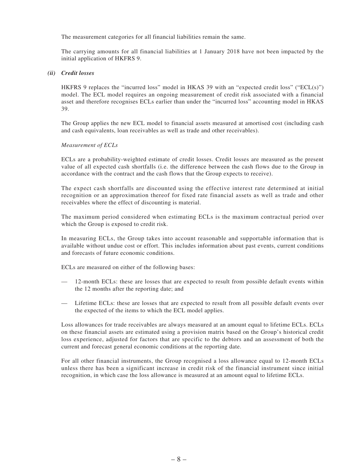The measurement categories for all financial liabilities remain the same.

The carrying amounts for all financial liabilities at 1 January 2018 have not been impacted by the initial application of HKFRS 9.

#### *(ii) Credit losses*

HKFRS 9 replaces the "incurred loss" model in HKAS 39 with an "expected credit loss" ("ECL(s)") model. The ECL model requires an ongoing measurement of credit risk associated with a financial asset and therefore recognises ECLs earlier than under the "incurred loss" accounting model in HKAS 39.

The Group applies the new ECL model to financial assets measured at amortised cost (including cash and cash equivalents, loan receivables as well as trade and other receivables).

#### *Measurement of ECLs*

ECLs are a probability-weighted estimate of credit losses. Credit losses are measured as the present value of all expected cash shortfalls (i.e. the difference between the cash flows due to the Group in accordance with the contract and the cash flows that the Group expects to receive).

The expect cash shortfalls are discounted using the effective interest rate determined at initial recognition or an approximation thereof for fixed rate financial assets as well as trade and other receivables where the effect of discounting is material.

The maximum period considered when estimating ECLs is the maximum contractual period over which the Group is exposed to credit risk.

In measuring ECLs, the Group takes into account reasonable and supportable information that is available without undue cost or effort. This includes information about past events, current conditions and forecasts of future economic conditions.

ECLs are measured on either of the following bases:

- 12-month ECLs: these are losses that are expected to result from possible default events within the 12 months after the reporting date; and
- Lifetime ECLs: these are losses that are expected to result from all possible default events over the expected of the items to which the ECL model applies.

Loss allowances for trade receivables are always measured at an amount equal to lifetime ECLs. ECLs on these financial assets are estimated using a provision matrix based on the Group's historical credit loss experience, adjusted for factors that are specific to the debtors and an assessment of both the current and forecast general economic conditions at the reporting date.

For all other financial instruments, the Group recognised a loss allowance equal to 12-month ECLs unless there has been a significant increase in credit risk of the financial instrument since initial recognition, in which case the loss allowance is measured at an amount equal to lifetime ECLs.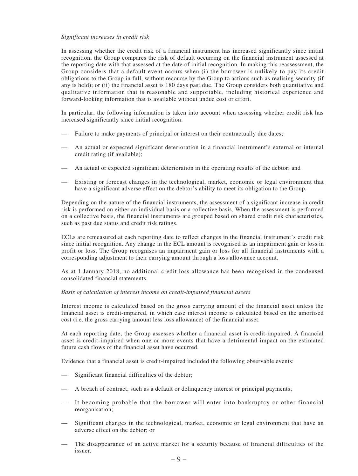#### *Significant increases in credit risk*

In assessing whether the credit risk of a financial instrument has increased significantly since initial recognition, the Group compares the risk of default occurring on the financial instrument assessed at the reporting date with that assessed at the date of initial recognition. In making this reassessment, the Group considers that a default event occurs when (i) the borrower is unlikely to pay its credit obligations to the Group in full, without recourse by the Group to actions such as realising security (if any is held); or (ii) the financial asset is 180 days past due. The Group considers both quantitative and qualitative information that is reasonable and supportable, including historical experience and forward-looking information that is available without undue cost or effort.

In particular, the following information is taken into account when assessing whether credit risk has increased significantly since initial recognition:

- Failure to make payments of principal or interest on their contractually due dates;
- An actual or expected significant deterioration in a financial instrument's external or internal credit rating (if available);
- An actual or expected significant deterioration in the operating results of the debtor; and
- Existing or forecast changes in the technological, market, economic or legal environment that have a significant adverse effect on the debtor's ability to meet its obligation to the Group.

Depending on the nature of the financial instruments, the assessment of a significant increase in credit risk is performed on either an individual basis or a collective basis. When the assessment is performed on a collective basis, the financial instruments are grouped based on shared credit risk characteristics, such as past due status and credit risk ratings.

ECLs are remeasured at each reporting date to reflect changes in the financial instrument's credit risk since initial recognition. Any change in the ECL amount is recognised as an impairment gain or loss in profit or loss. The Group recognises an impairment gain or loss for all financial instruments with a corresponding adjustment to their carrying amount through a loss allowance account.

As at 1 January 2018, no additional credit loss allowance has been recognised in the condensed consolidated financial statements.

#### *Basis of calculation of interest income on credit-impaired financial assets*

Interest income is calculated based on the gross carrying amount of the financial asset unless the financial asset is credit-impaired, in which case interest income is calculated based on the amortised cost (i.e. the gross carrying amount less loss allowance) of the financial asset.

At each reporting date, the Group assesses whether a financial asset is credit-impaired. A financial asset is credit-impaired when one or more events that have a detrimental impact on the estimated future cash flows of the financial asset have occurred.

Evidence that a financial asset is credit-impaired included the following observable events:

- Significant financial difficulties of the debtor;
- A breach of contract, such as a default or delinquency interest or principal payments;
- It becoming probable that the borrower will enter into bankruptcy or other financial reorganisation;
- Significant changes in the technological, market, economic or legal environment that have an adverse effect on the debtor; or
- The disappearance of an active market for a security because of financial difficulties of the issuer.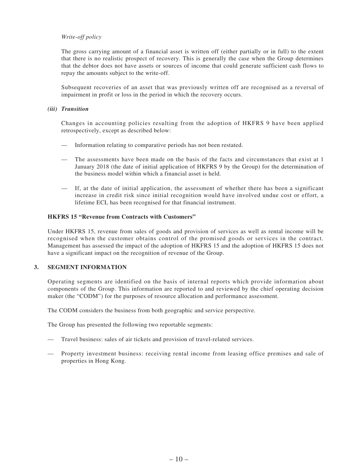### *Write-off policy*

The gross carrying amount of a financial asset is written off (either partially or in full) to the extent that there is no realistic prospect of recovery. This is generally the case when the Group determines that the debtor does not have assets or sources of income that could generate sufficient cash flows to repay the amounts subject to the write-off.

Subsequent recoveries of an asset that was previously written off are recognised as a reversal of impairment in profit or loss in the period in which the recovery occurs.

#### *(iii) Transition*

Changes in accounting policies resulting from the adoption of HKFRS 9 have been applied retrospectively, except as described below:

- Information relating to comparative periods has not been restated.
- The assessments have been made on the basis of the facts and circumstances that exist at 1 January 2018 (the date of initial application of HKFRS 9 by the Group) for the determination of the business model within which a financial asset is held.
- If, at the date of initial application, the assessment of whether there has been a significant increase in credit risk since initial recognition would have involved undue cost or effort, a lifetime ECL has been recognised for that financial instrument.

#### **HKFRS 15 "Revenue from Contracts with Customers"**

Under HKFRS 15, revenue from sales of goods and provision of services as well as rental income will be recognised when the customer obtains control of the promised goods or services in the contract. Management has assessed the impact of the adoption of HKFRS 15 and the adoption of HKFRS 15 does not have a significant impact on the recognition of revenue of the Group.

### **3. SEGMENT INFORMATION**

Operating segments are identified on the basis of internal reports which provide information about components of the Group. This information are reported to and reviewed by the chief operating decision maker (the "CODM") for the purposes of resource allocation and performance assessment.

The CODM considers the business from both geographic and service perspective.

The Group has presented the following two reportable segments:

- Travel business: sales of air tickets and provision of travel-related services.
- Property investment business: receiving rental income from leasing office premises and sale of properties in Hong Kong.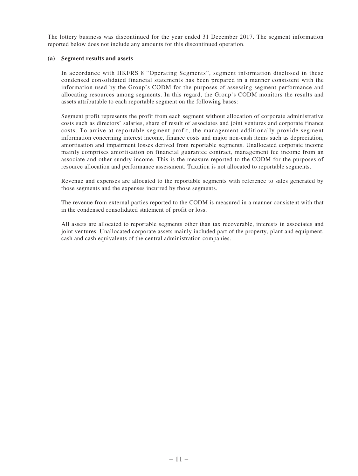The lottery business was discontinued for the year ended 31 December 2017. The segment information reported below does not include any amounts for this discontinued operation.

#### **(a) Segment results and assets**

In accordance with HKFRS 8 "Operating Segments", segment information disclosed in these condensed consolidated financial statements has been prepared in a manner consistent with the information used by the Group's CODM for the purposes of assessing segment performance and allocating resources among segments. In this regard, the Group's CODM monitors the results and assets attributable to each reportable segment on the following bases:

Segment profit represents the profit from each segment without allocation of corporate administrative costs such as directors' salaries, share of result of associates and joint ventures and corporate finance costs. To arrive at reportable segment profit, the management additionally provide segment information concerning interest income, finance costs and major non-cash items such as depreciation, amortisation and impairment losses derived from reportable segments. Unallocated corporate income mainly comprises amortisation on financial guarantee contract, management fee income from an associate and other sundry income. This is the measure reported to the CODM for the purposes of resource allocation and performance assessment. Taxation is not allocated to reportable segments.

Revenue and expenses are allocated to the reportable segments with reference to sales generated by those segments and the expenses incurred by those segments.

The revenue from external parties reported to the CODM is measured in a manner consistent with that in the condensed consolidated statement of profit or loss.

All assets are allocated to reportable segments other than tax recoverable, interests in associates and joint ventures. Unallocated corporate assets mainly included part of the property, plant and equipment, cash and cash equivalents of the central administration companies.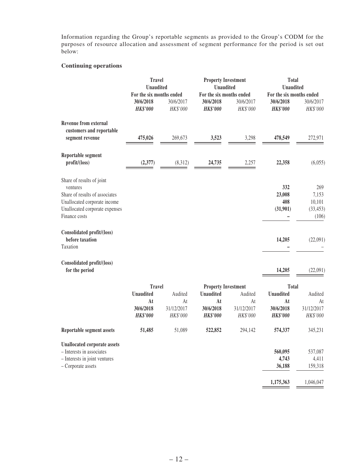Information regarding the Group's reportable segments as provided to the Group's CODM for the purposes of resource allocation and assessment of segment performance for the period is set out below:

### **Continuing operations**

|                                                           | <b>Travel</b><br><b>Unaudited</b>                        |                       | <b>Property Investment</b><br><b>Unaudited</b>           |                       | <b>Total</b><br><b>Unaudited</b>                         |                       |  |
|-----------------------------------------------------------|----------------------------------------------------------|-----------------------|----------------------------------------------------------|-----------------------|----------------------------------------------------------|-----------------------|--|
|                                                           | For the six months ended<br>30/6/2018<br><b>HK\$'000</b> | 30/6/2017<br>HK\$'000 | For the six months ended<br>30/6/2018<br><b>HK\$'000</b> | 30/6/2017<br>HK\$'000 | For the six months ended<br>30/6/2018<br><b>HK\$'000</b> | 30/6/2017<br>HK\$'000 |  |
| <b>Revenue from external</b><br>customers and reportable  |                                                          |                       | 3,523                                                    |                       | 478,549                                                  | 272,971               |  |
| segment revenue                                           | 475,026                                                  | 269,673               |                                                          | 3,298                 |                                                          |                       |  |
| Reportable segment<br>profit/(loss)                       | (2,377)                                                  | (8,312)               | 24,735                                                   | 2,257                 | 22,358                                                   | (6,055)               |  |
| Share of results of joint<br>ventures                     |                                                          |                       |                                                          |                       | 332                                                      | 269                   |  |
| Share of results of associates                            |                                                          |                       |                                                          |                       | 23,008                                                   | 7,153                 |  |
| Unallocated corporate income                              |                                                          |                       |                                                          |                       | 408                                                      | 10,101                |  |
| Unallocated corporate expenses<br>Finance costs           |                                                          |                       |                                                          |                       | (31,901)                                                 | (33, 453)<br>(106)    |  |
| Consolidated profit/(loss)<br>before taxation<br>Taxation |                                                          |                       |                                                          |                       | 14,205                                                   | (22,091)              |  |
| Consolidated profit/(loss)<br>for the period              |                                                          |                       |                                                          |                       | 14,205                                                   | (22,091)              |  |
|                                                           | <b>Travel</b>                                            |                       | <b>Property Investment</b>                               |                       | Total                                                    |                       |  |
|                                                           | <b>Unaudited</b>                                         | Audited               | <b>Unaudited</b>                                         | Audited               | <b>Unaudited</b>                                         | Audited               |  |
|                                                           | At                                                       | At                    | At                                                       | At                    | At                                                       | At                    |  |
|                                                           | 30/6/2018                                                | 31/12/2017            | 30/6/2018                                                | 31/12/2017            | 30/6/2018                                                | 31/12/2017            |  |
|                                                           | <b>HK\$'000</b>                                          | HK\$'000              | <b>HK\$'000</b>                                          | HK\$'000              | <b>HK\$'000</b>                                          | HK\$'000              |  |
| Reportable segment assets                                 | 51,485                                                   | 51,089                | 522,852                                                  | 294,142               | 574,337                                                  | 345,231               |  |
| <b>Unallocated corporate assets</b>                       |                                                          |                       |                                                          |                       |                                                          |                       |  |
| - Interests in associates                                 |                                                          |                       |                                                          |                       | 560,095                                                  | 537,087               |  |
| - Interests in joint ventures                             |                                                          |                       |                                                          |                       | 4,743                                                    | 4,411                 |  |
| - Corporate assets                                        |                                                          |                       |                                                          |                       | 36,188                                                   | 159,318               |  |
|                                                           |                                                          |                       |                                                          |                       | 1,175,363                                                | 1,046,047             |  |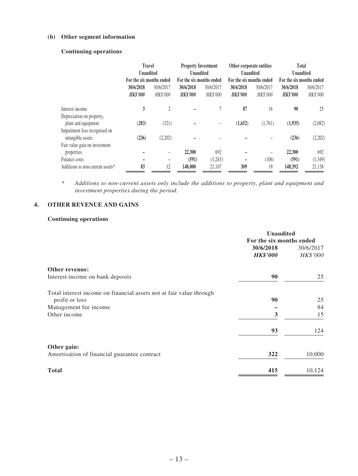### **(b) Other segment information**

### **Continuing operations**

|                                  | <b>Travel</b><br><b>Unaudited</b><br>For the six months ended |                       | <b>Property Investment</b><br><b>Unaudited</b><br>For the six months ended |                       | Other corporate entities<br><b>Unaudited</b><br>For the six months ended |                       | Total<br><b>Unaudited</b><br>For the six months ended |                       |
|----------------------------------|---------------------------------------------------------------|-----------------------|----------------------------------------------------------------------------|-----------------------|--------------------------------------------------------------------------|-----------------------|-------------------------------------------------------|-----------------------|
|                                  | 30/6/2018<br><b>HK\$'000</b>                                  | 30/6/2017<br>HK\$'000 | 30/6/2018<br><b>HK\$'000</b>                                               | 30/6/2017<br>HK\$'000 | 30/6/2018<br><b>HK\$'000</b>                                             | 30/6/2017<br>HK\$'000 | 30/6/2018<br><b>HK\$'000</b>                          | 30/6/2017<br>HK\$'000 |
| Interest income                  | 3                                                             | 2                     |                                                                            |                       | 87                                                                       | 16                    | 90                                                    | 25                    |
| Depreciation on property,        |                                                               |                       |                                                                            |                       |                                                                          |                       |                                                       |                       |
| plant and equipment              | (283)                                                         | (321)                 |                                                                            |                       | (1,652)                                                                  | (1,761)               | (1,935)                                               | (2,082)               |
| Impairment loss recognised on    |                                                               |                       |                                                                            |                       |                                                                          |                       |                                                       |                       |
| intangible assets                | (236)                                                         | (2,202)               |                                                                            |                       |                                                                          |                       | (236)                                                 | (2,202)               |
| Fair value gain on investment    |                                                               |                       |                                                                            |                       |                                                                          |                       |                                                       |                       |
| properties                       |                                                               | -                     | 22,300                                                                     | 692                   |                                                                          |                       | 22,300                                                | 692                   |
| Finance costs                    |                                                               |                       | (591)                                                                      | (1,243)               |                                                                          | (106)                 | (591)                                                 | (1,349)               |
| Additions to non-current assets* | 83                                                            | 12                    | 148,000                                                                    | 21,107                | 309                                                                      | 19                    | 148,392                                               | 21,138                |

*\* Additions to non-current assets only include the additions to property, plant and equipment and investment properties during the period.*

### **4. OTHER REVENUE AND GAINS**

### **Continuing operations**

|                                                                     | <b>Unaudited</b>         |           |  |
|---------------------------------------------------------------------|--------------------------|-----------|--|
|                                                                     | For the six months ended |           |  |
|                                                                     | 30/6/2018                | 30/6/2017 |  |
|                                                                     | <b>HK\$'000</b>          | HK\$'000  |  |
| Other revenue:                                                      |                          |           |  |
| Interest income on bank deposits                                    | 90                       | 25        |  |
| Total interest income on financial assets not at fair value through |                          |           |  |
| profit or loss                                                      | 90                       | 25        |  |
| Management fee income                                               |                          | 84        |  |
| Other income                                                        | 3                        | 15        |  |
|                                                                     | 93                       | 124       |  |
| Other gain:                                                         |                          |           |  |
| Amortisation of financial guarantee contract                        | 322                      | 10,000    |  |
| <b>Total</b>                                                        | 415                      | 10,124    |  |
|                                                                     |                          |           |  |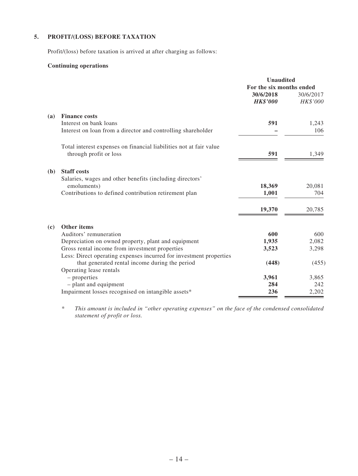### **5. PROFIT/(LOSS) BEFORE TAXATION**

Profit/(loss) before taxation is arrived at after charging as follows:

### **Continuing operations**

|                            |                                                                           | <b>Unaudited</b>         |           |
|----------------------------|---------------------------------------------------------------------------|--------------------------|-----------|
|                            |                                                                           | For the six months ended |           |
|                            |                                                                           | 30/6/2018                | 30/6/2017 |
|                            |                                                                           | <b>HK\$'000</b>          | HK\$'000  |
| (a)                        | <b>Finance costs</b>                                                      |                          |           |
|                            | Interest on bank loans                                                    | 591                      | 1,243     |
|                            | Interest on loan from a director and controlling shareholder              |                          | 106       |
|                            | Total interest expenses on financial liabilities not at fair value        |                          |           |
|                            | through profit or loss                                                    | 591                      | 1,349     |
| (b)                        | <b>Staff costs</b>                                                        |                          |           |
|                            | Salaries, wages and other benefits (including directors'                  |                          |           |
|                            | emoluments)                                                               | 18,369                   | 20,081    |
|                            | Contributions to defined contribution retirement plan                     | 1,001                    | 704       |
|                            |                                                                           | 19,370                   | 20,785    |
|                            |                                                                           |                          |           |
| $\left( \mathbf{c}\right)$ | <b>Other items</b>                                                        |                          |           |
|                            | Auditors' remuneration                                                    | 600                      | 600       |
|                            | Depreciation on owned property, plant and equipment                       | 1,935                    | 2,082     |
|                            | Gross rental income from investment properties                            | 3,523                    | 3,298     |
|                            | Less: Direct operating expenses incurred for investment properties        |                          |           |
|                            | that generated rental income during the period<br>Operating lease rentals | (448)                    | (455)     |
|                            | - properties                                                              | 3,961                    | 3,865     |
|                            | - plant and equipment                                                     | 284                      | 242       |
|                            | Impairment losses recognised on intangible assets*                        | 236                      | 2,202     |
|                            |                                                                           |                          |           |

*\* This amount is included in "other operating expenses" on the face of the condensed consolidated statement of profit or loss.*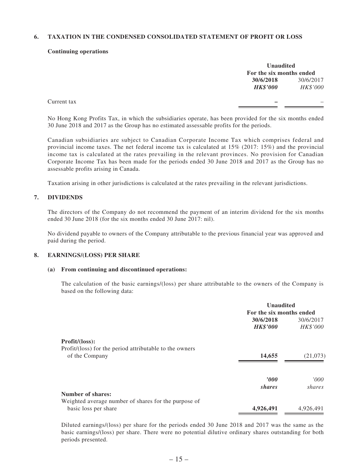#### **6. TAXATION IN THE CONDENSED CONSOLIDATED STATEMENT OF PROFIT OR LOSS**

#### **Continuing operations**

| <b>Unaudited</b>         |           |  |  |
|--------------------------|-----------|--|--|
| For the six months ended |           |  |  |
| 30/6/2018                | 30/6/2017 |  |  |
| <b>HK\$'000</b>          | HK\$'000  |  |  |

Current tax **–** –

No Hong Kong Profits Tax, in which the subsidiaries operate, has been provided for the six months ended 30 June 2018 and 2017 as the Group has no estimated assessable profits for the periods.

Canadian subsidiaries are subject to Canadian Corporate Income Tax which comprises federal and provincial income taxes. The net federal income tax is calculated at 15% (2017: 15%) and the provincial income tax is calculated at the rates prevailing in the relevant provinces. No provision for Canadian Corporate Income Tax has been made for the periods ended 30 June 2018 and 2017 as the Group has no assessable profits arising in Canada.

Taxation arising in other jurisdictions is calculated at the rates prevailing in the relevant jurisdictions.

#### **7. DIVIDENDS**

The directors of the Company do not recommend the payment of an interim dividend for the six months ended 30 June 2018 (for the six months ended 30 June 2017: nil).

No dividend payable to owners of the Company attributable to the previous financial year was approved and paid during the period.

#### **8. EARNINGS/(LOSS) PER SHARE**

#### **(a) From continuing and discontinued operations:**

The calculation of the basic earnings/(loss) per share attributable to the owners of the Company is based on the following data:

|                                                         | <b>Unaudited</b>         |           |  |
|---------------------------------------------------------|--------------------------|-----------|--|
|                                                         | For the six months ended |           |  |
|                                                         | 30/6/2018                | 30/6/2017 |  |
|                                                         | <b>HK\$'000</b>          | HK\$'000  |  |
| Profit/ (loss):                                         |                          |           |  |
| Profit/(loss) for the period attributable to the owners |                          |           |  |
| of the Company                                          | 14,655                   | (21,073)  |  |
|                                                         | 2000                     | 000'      |  |
|                                                         | shares                   | shares    |  |
| <b>Number of shares:</b>                                |                          |           |  |
| Weighted average number of shares for the purpose of    |                          |           |  |
| basic loss per share                                    | 4,926,491                | 4,926,491 |  |

Diluted earnings/(loss) per share for the periods ended 30 June 2018 and 2017 was the same as the basic earnings/(loss) per share. There were no potential dilutive ordinary shares outstanding for both periods presented.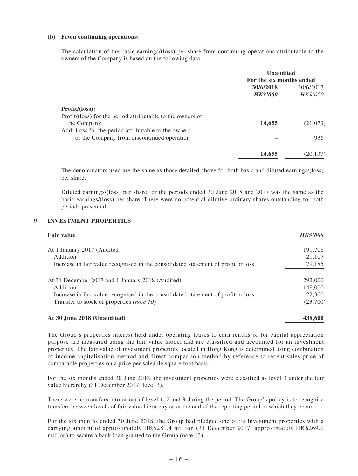#### **(b) From continuing operations:**

The calculation of the basic earnings/(loss) per share from continuing operations attributable to the owners of the Company is based on the following data:

|                                                            | <b>Unaudited</b>         |           |  |
|------------------------------------------------------------|--------------------------|-----------|--|
|                                                            | For the six months ended |           |  |
|                                                            | 30/6/2018                | 30/6/2017 |  |
|                                                            | <b>HK\$'000</b>          | HK\$'000  |  |
| Profit/ (loss):                                            |                          |           |  |
| Profit/(loss) for the period attributable to the owners of |                          |           |  |
| the Company                                                | 14,655                   | (21,073)  |  |
| Add: Loss for the period attributable to the owners        |                          |           |  |
| of the Company from discontinued operation                 |                          | 936       |  |
|                                                            | 14,655                   | (20, 137) |  |

The denominators used are the same as those detailed above for both basic and diluted earnings/(loss) per share.

Diluted earnings/(loss) per share for the periods ended 30 June 2018 and 2017 was the same as the basic earnings/(loss) per share. There were no potential dilutive ordinary shares outstanding for both periods presented.

#### **9. INVESTMENT PROPERTIES**

| <b>Fair value</b>                                                                 | <b>HK\$'000</b> |
|-----------------------------------------------------------------------------------|-----------------|
| At 1 January 2017 (Audited)                                                       | 191,708         |
| Addition                                                                          | 21,107          |
| Increase in fair value recognised in the consolidated statement of profit or loss | 79,185          |
| At 31 December 2017 and 1 January 2018 (Audited)                                  | 292,000         |
| Addition                                                                          | 148,000         |
| Increase in fair value recognised in the consolidated statement of profit or loss | 22,300          |
| Transfer to stock of properties <i>(note 10)</i>                                  | (23,700)        |
| At 30 June 2018 (Unaudited)                                                       | 438,600         |

The Group's properties interest held under operating leases to earn rentals or for capital appreciation purpose are measured using the fair value model and are classified and accounted for an investment properties. The fair value of investment properties located in Hong Kong is determined using combination of income capitalisation method and direct comparison method by reference to recent sales price of comparable properties on a price per saleable square foot basis.

For the six months ended 30 June 2018, the investment properties were classified as level 3 under the fair value hierarchy (31 December 2017: level 3).

There were no transfers into or out of level 1, 2 and 3 during the period. The Group's policy is to recognise transfers between levels of fair value hierarchy as at the end of the reporting period in which they occur.

For the six months ended 30 June 2018, the Group had pledged one of its investment properties with a carrying amount of approximately HK\$281.4 million (31 December 2017: approximately HK\$269.0 million) to secure a bank loan granted to the Group (note 13).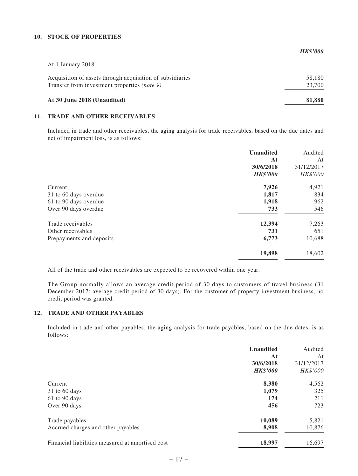#### **10. STOCK OF PROPERTIES**

|                                                                                                           | <b>HK\$'000</b>  |
|-----------------------------------------------------------------------------------------------------------|------------------|
| At 1 January 2018                                                                                         |                  |
| Acquisition of assets through acquisition of subsidiaries<br>Transfer from investment properties (note 9) | 58,180<br>23,700 |
| At 30 June 2018 (Unaudited)                                                                               | 81,880           |

#### **11. TRADE AND OTHER RECEIVABLES**

Included in trade and other receivables, the aging analysis for trade receivables, based on the due dates and net of impairment loss, is as follows:

|                          | <b>Unaudited</b> | Audited          |
|--------------------------|------------------|------------------|
|                          | At<br>30/6/2018  | At<br>31/12/2017 |
|                          | <b>HK\$'000</b>  | HK\$'000         |
| Current                  | 7,926            | 4,921            |
| 31 to 60 days overdue    | 1,817            | 834              |
| 61 to 90 days overdue    | 1,918            | 962              |
| Over 90 days overdue     | 733              | 546              |
| Trade receivables        | 12,394           | 7,263            |
| Other receivables        | 731              | 651              |
| Prepayments and deposits | 6,773            | 10,688           |
|                          | 19,898           | 18,602           |

All of the trade and other receivables are expected to be recovered within one year.

The Group normally allows an average credit period of 30 days to customers of travel business (31 December 2017: average credit period of 30 days). For the customer of property investment business, no credit period was granted.

#### **12. TRADE AND OTHER PAYABLES**

Included in trade and other payables, the aging analysis for trade payables, based on the due dates, is as follows:

|                                                  | <b>Unaudited</b> | Audited    |
|--------------------------------------------------|------------------|------------|
|                                                  | At               | At         |
|                                                  | 30/6/2018        | 31/12/2017 |
|                                                  | <b>HK\$'000</b>  | HK\$'000   |
| Current                                          | 8,380            | 4,562      |
| $31$ to 60 days                                  | 1,079            | 325        |
| $61$ to 90 days                                  | 174              | 211        |
| Over 90 days                                     | 456              | 723        |
| Trade payables                                   | 10,089           | 5,821      |
| Accrued charges and other payables               | 8,908            | 10,876     |
| Financial liabilities measured at amortised cost | 18,997           | 16,697     |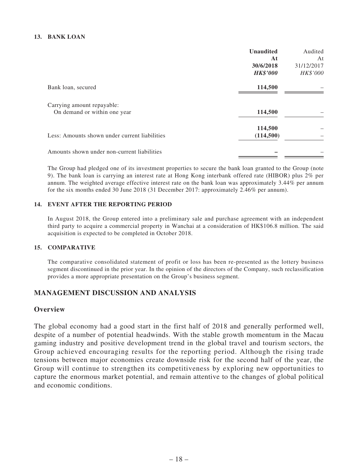### **13. BANK LOAN**

|                                                            | <b>Unaudited</b>     | Audited    |
|------------------------------------------------------------|----------------------|------------|
|                                                            | At                   | At         |
|                                                            | 30/6/2018            | 31/12/2017 |
|                                                            | <b>HK\$'000</b>      | HK\$'000   |
| Bank loan, secured                                         | 114,500              |            |
| Carrying amount repayable:<br>On demand or within one year | 114,500              |            |
| Less: Amounts shown under current liabilities              | 114,500<br>(114,500) |            |
| Amounts shown under non-current liabilities                |                      |            |

The Group had pledged one of its investment properties to secure the bank loan granted to the Group (note 9). The bank loan is carrying an interest rate at Hong Kong interbank offered rate (HIBOR) plus 2% per annum. The weighted average effective interest rate on the bank loan was approximately 3.44% per annum for the six months ended 30 June 2018 (31 December 2017: approximately 2.46% per annum).

### **14. EVENT AFTER THE REPORTING PERIOD**

In August 2018, the Group entered into a preliminary sale and purchase agreement with an independent third party to acquire a commercial property in Wanchai at a consideration of HK\$106.8 million. The said acquisition is expected to be completed in October 2018.

### **15. COMPARATIVE**

The comparative consolidated statement of profit or loss has been re-presented as the lottery business segment discontinued in the prior year. In the opinion of the directors of the Company, such reclassification provides a more appropriate presentation on the Group's business segment.

### **MANAGEMENT DISCUSSION AND ANALYSIS**

### **Overview**

The global economy had a good start in the first half of 2018 and generally performed well, despite of a number of potential headwinds. With the stable growth momentum in the Macau gaming industry and positive development trend in the global travel and tourism sectors, the Group achieved encouraging results for the reporting period. Although the rising trade tensions between major economies create downside risk for the second half of the year, the Group will continue to strengthen its competitiveness by exploring new opportunities to capture the enormous market potential, and remain attentive to the changes of global political and economic conditions.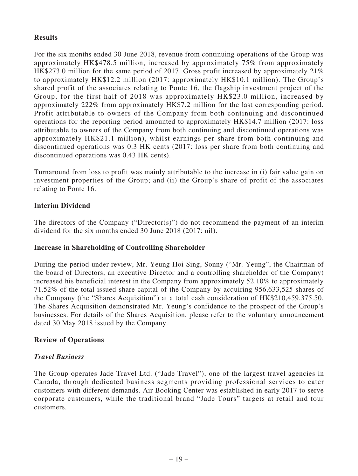## **Results**

For the six months ended 30 June 2018, revenue from continuing operations of the Group was approximately HK\$478.5 million, increased by approximately 75% from approximately HK\$273.0 million for the same period of 2017. Gross profit increased by approximately 21% to approximately HK\$12.2 million (2017: approximately HK\$10.1 million). The Group's shared profit of the associates relating to Ponte 16, the flagship investment project of the Group, for the first half of 2018 was approximately HK\$23.0 million, increased by approximately 222% from approximately HK\$7.2 million for the last corresponding period. Profit attributable to owners of the Company from both continuing and discontinued operations for the reporting period amounted to approximately HK\$14.7 million (2017: loss attributable to owners of the Company from both continuing and discontinued operations was approximately HK\$21.1 million), whilst earnings per share from both continuing and discontinued operations was 0.3 HK cents (2017: loss per share from both continuing and discontinued operations was 0.43 HK cents).

Turnaround from loss to profit was mainly attributable to the increase in (i) fair value gain on investment properties of the Group; and (ii) the Group's share of profit of the associates relating to Ponte 16.

## **Interim Dividend**

The directors of the Company ("Director(s)") do not recommend the payment of an interim dividend for the six months ended 30 June 2018 (2017: nil).

## **Increase in Shareholding of Controlling Shareholder**

During the period under review, Mr. Yeung Hoi Sing, Sonny ("Mr. Yeung", the Chairman of the board of Directors, an executive Director and a controlling shareholder of the Company) increased his beneficial interest in the Company from approximately 52.10% to approximately 71.52% of the total issued share capital of the Company by acquiring 956,633,525 shares of the Company (the "Shares Acquisition") at a total cash consideration of HK\$210,459,375.50. The Shares Acquisition demonstrated Mr. Yeung's confidence to the prospect of the Group's businesses. For details of the Shares Acquisition, please refer to the voluntary announcement dated 30 May 2018 issued by the Company.

## **Review of Operations**

## *Travel Business*

The Group operates Jade Travel Ltd. ("Jade Travel"), one of the largest travel agencies in Canada, through dedicated business segments providing professional services to cater customers with different demands. Air Booking Center was established in early 2017 to serve corporate customers, while the traditional brand "Jade Tours" targets at retail and tour customers.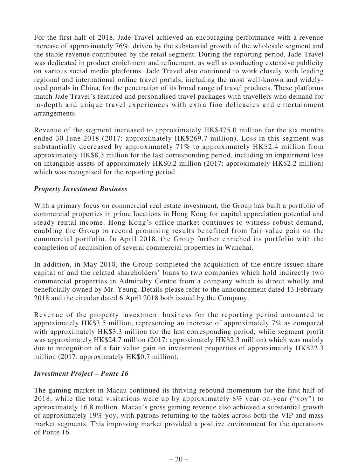For the first half of 2018, Jade Travel achieved an encouraging performance with a revenue increase of approximately 76%, driven by the substantial growth of the wholesale segment and the stable revenue contributed by the retail segment. During the reporting period, Jade Travel was dedicated in product enrichment and refinement, as well as conducting extensive publicity on various social media platforms. Jade Travel also continued to work closely with leading regional and international online travel portals, including the most well-known and widelyused portals in China, for the penetration of its broad range of travel products. These platforms match Jade Travel's featured and personalised travel packages with travellers who demand for in-depth and unique travel experiences with extra fine delicacies and entertainment arrangements.

Revenue of the segment increased to approximately HK\$475.0 million for the six months ended 30 June 2018 (2017: approximately HK\$269.7 million). Loss in this segment was substantially decreased by approximately 71% to approximately HK\$2.4 million from approximately HK\$8.3 million for the last corresponding period, including an impairment loss on intangible assets of approximately HK\$0.2 million (2017: approximately HK\$2.2 million) which was recognised for the reporting period.

## *Property Investment Business*

With a primary focus on commercial real estate investment, the Group has built a portfolio of commercial properties in prime locations in Hong Kong for capital appreciation potential and steady rental income. Hong Kong's office market continues to witness robust demand, enabling the Group to record promising results benefited from fair value gain on the commercial portfolio. In April 2018, the Group further enriched its portfolio with the completion of acquisition of several commercial properties in Wanchai.

In addition, in May 2018, the Group completed the acquisition of the entire issued share capital of and the related shareholders' loans to two companies which hold indirectly two commercial properties in Admiralty Centre from a company which is direct wholly and beneficially owned by Mr. Yeung. Details please refer to the announcement dated 13 February 2018 and the circular dated 6 April 2018 both issued by the Company.

Revenue of the property investment business for the reporting period amounted to approximately HK\$3.5 million, representing an increase of approximately 7% as compared with approximately HK\$3.3 million for the last corresponding period, while segment profit was approximately HK\$24.7 million (2017: approximately HK\$2.3 million) which was mainly due to recognition of a fair value gain on investment properties of approximately HK\$22.3 million (2017: approximately HK\$0.7 million).

## *Investment Project – Ponte 16*

The gaming market in Macau continued its thriving rebound momentum for the first half of 2018, while the total visitations were up by approximately 8% year-on-year ("yoy") to approximately 16.8 million. Macau's gross gaming revenue also achieved a substantial growth of approximately 19% yoy, with patrons returning to the tables across both the VIP and mass market segments. This improving market provided a positive environment for the operations of Ponte 16.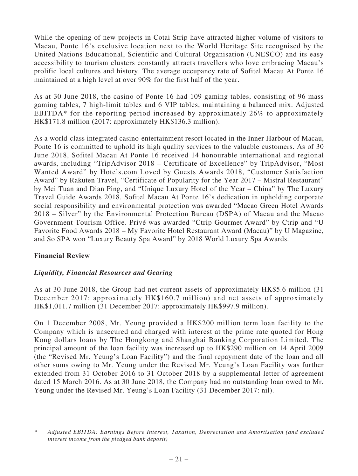While the opening of new projects in Cotai Strip have attracted higher volume of visitors to Macau, Ponte 16's exclusive location next to the World Heritage Site recognised by the United Nations Educational, Scientific and Cultural Organisation (UNESCO) and its easy accessibility to tourism clusters constantly attracts travellers who love embracing Macau's prolific local cultures and history. The average occupancy rate of Sofitel Macau At Ponte 16 maintained at a high level at over 90% for the first half of the year.

As at 30 June 2018, the casino of Ponte 16 had 109 gaming tables, consisting of 96 mass gaming tables, 7 high-limit tables and 6 VIP tables, maintaining a balanced mix. Adjusted EBITDA\* for the reporting period increased by approximately 26% to approximately HK\$171.8 million (2017: approximately HK\$136.3 million).

As a world-class integrated casino-entertainment resort located in the Inner Harbour of Macau, Ponte 16 is committed to uphold its high quality services to the valuable customers. As of 30 June 2018, Sofitel Macau At Ponte 16 received 14 honourable international and regional awards, including "TripAdvisor 2018 – Certificate of Excellence" by TripAdvisor, "Most Wanted Award" by Hotels.com Loved by Guests Awards 2018, "Customer Satisfaction Award" by Rakuten Travel, "Certificate of Popularity for the Year 2017 – Mistral Restaurant" by Mei Tuan and Dian Ping, and "Unique Luxury Hotel of the Year – China" by The Luxury Travel Guide Awards 2018. Sofitel Macau At Ponte 16's dedication in upholding corporate social responsibility and environmental protection was awarded "Macao Green Hotel Awards 2018 – Silver" by the Environmental Protection Bureau (DSPA) of Macau and the Macao Government Tourism Office. Privé was awarded "Ctrip Gourmet Award" by Ctrip and "U Favorite Food Awards 2018 – My Favorite Hotel Restaurant Award (Macau)" by U Magazine, and So SPA won "Luxury Beauty Spa Award" by 2018 World Luxury Spa Awards.

## **Financial Review**

## *Liquidity, Financial Resources and Gearing*

As at 30 June 2018, the Group had net current assets of approximately HK\$5.6 million (31 December 2017: approximately HK\$160.7 million) and net assets of approximately HK\$1,011.7 million (31 December 2017: approximately HK\$997.9 million).

On 1 December 2008, Mr. Yeung provided a HK\$200 million term loan facility to the Company which is unsecured and charged with interest at the prime rate quoted for Hong Kong dollars loans by The Hongkong and Shanghai Banking Corporation Limited. The principal amount of the loan facility was increased up to HK\$290 million on 14 April 2009 (the "Revised Mr. Yeung's Loan Facility") and the final repayment date of the loan and all other sums owing to Mr. Yeung under the Revised Mr. Yeung's Loan Facility was further extended from 31 October 2016 to 31 October 2018 by a supplemental letter of agreement dated 15 March 2016. As at 30 June 2018, the Company had no outstanding loan owed to Mr. Yeung under the Revised Mr. Yeung's Loan Facility (31 December 2017: nil).

*<sup>\*</sup> Adjusted EBITDA: Earnings Before Interest, Taxation, Depreciation and Amortisation (and excluded interest income from the pledged bank deposit)*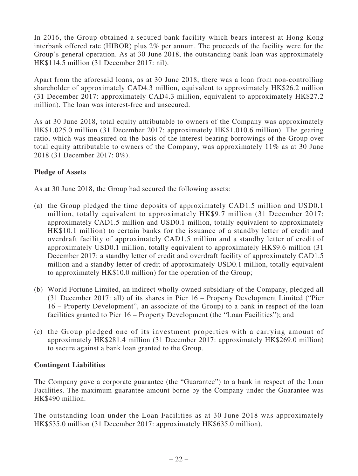In 2016, the Group obtained a secured bank facility which bears interest at Hong Kong interbank offered rate (HIBOR) plus 2% per annum. The proceeds of the facility were for the Group's general operation. As at 30 June 2018, the outstanding bank loan was approximately HK\$114.5 million (31 December 2017: nil).

Apart from the aforesaid loans, as at 30 June 2018, there was a loan from non-controlling shareholder of approximately CAD4.3 million, equivalent to approximately HK\$26.2 million (31 December 2017: approximately CAD4.3 million, equivalent to approximately HK\$27.2 million). The loan was interest-free and unsecured.

As at 30 June 2018, total equity attributable to owners of the Company was approximately HK\$1,025.0 million (31 December 2017: approximately HK\$1,010.6 million). The gearing ratio, which was measured on the basis of the interest-bearing borrowings of the Group over total equity attributable to owners of the Company, was approximately 11% as at 30 June 2018 (31 December 2017: 0%).

## **Pledge of Assets**

As at 30 June 2018, the Group had secured the following assets:

- (a) the Group pledged the time deposits of approximately CAD1.5 million and USD0.1 million, totally equivalent to approximately HK\$9.7 million (31 December 2017: approximately CAD1.5 million and USD0.1 million, totally equivalent to approximately HK\$10.1 million) to certain banks for the issuance of a standby letter of credit and overdraft facility of approximately CAD1.5 million and a standby letter of credit of approximately USD0.1 million, totally equivalent to approximately HK\$9.6 million (31 December 2017: a standby letter of credit and overdraft facility of approximately CAD1.5 million and a standby letter of credit of approximately USD0.1 million, totally equivalent to approximately HK\$10.0 million) for the operation of the Group;
- (b) World Fortune Limited, an indirect wholly-owned subsidiary of the Company, pledged all (31 December 2017: all) of its shares in Pier 16 – Property Development Limited ("Pier 16 – Property Development", an associate of the Group) to a bank in respect of the loan facilities granted to Pier 16 – Property Development (the "Loan Facilities"); and
- (c) the Group pledged one of its investment properties with a carrying amount of approximately HK\$281.4 million (31 December 2017: approximately HK\$269.0 million) to secure against a bank loan granted to the Group.

## **Contingent Liabilities**

The Company gave a corporate guarantee (the "Guarantee") to a bank in respect of the Loan Facilities. The maximum guarantee amount borne by the Company under the Guarantee was HK\$490 million.

The outstanding loan under the Loan Facilities as at 30 June 2018 was approximately HK\$535.0 million (31 December 2017: approximately HK\$635.0 million).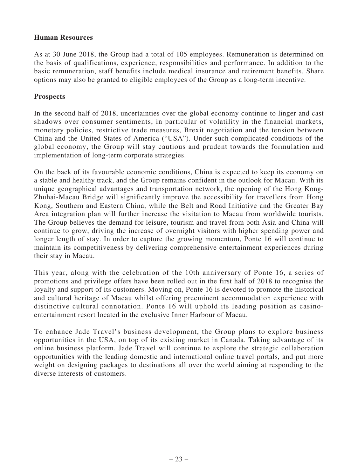### **Human Resources**

As at 30 June 2018, the Group had a total of 105 employees. Remuneration is determined on the basis of qualifications, experience, responsibilities and performance. In addition to the basic remuneration, staff benefits include medical insurance and retirement benefits. Share options may also be granted to eligible employees of the Group as a long-term incentive.

## **Prospects**

In the second half of 2018, uncertainties over the global economy continue to linger and cast shadows over consumer sentiments, in particular of volatility in the financial markets, monetary policies, restrictive trade measures, Brexit negotiation and the tension between China and the United States of America ("USA"). Under such complicated conditions of the global economy, the Group will stay cautious and prudent towards the formulation and implementation of long-term corporate strategies.

On the back of its favourable economic conditions, China is expected to keep its economy on a stable and healthy track, and the Group remains confident in the outlook for Macau. With its unique geographical advantages and transportation network, the opening of the Hong Kong-Zhuhai-Macau Bridge will significantly improve the accessibility for travellers from Hong Kong, Southern and Eastern China, while the Belt and Road Initiative and the Greater Bay Area integration plan will further increase the visitation to Macau from worldwide tourists. The Group believes the demand for leisure, tourism and travel from both Asia and China will continue to grow, driving the increase of overnight visitors with higher spending power and longer length of stay. In order to capture the growing momentum, Ponte 16 will continue to maintain its competitiveness by delivering comprehensive entertainment experiences during their stay in Macau.

This year, along with the celebration of the 10th anniversary of Ponte 16, a series of promotions and privilege offers have been rolled out in the first half of 2018 to recognise the loyalty and support of its customers. Moving on, Ponte 16 is devoted to promote the historical and cultural heritage of Macau whilst offering preeminent accommodation experience with distinctive cultural connotation. Ponte 16 will uphold its leading position as casinoentertainment resort located in the exclusive Inner Harbour of Macau.

To enhance Jade Travel's business development, the Group plans to explore business opportunities in the USA, on top of its existing market in Canada. Taking advantage of its online business platform, Jade Travel will continue to explore the strategic collaboration opportunities with the leading domestic and international online travel portals, and put more weight on designing packages to destinations all over the world aiming at responding to the diverse interests of customers.